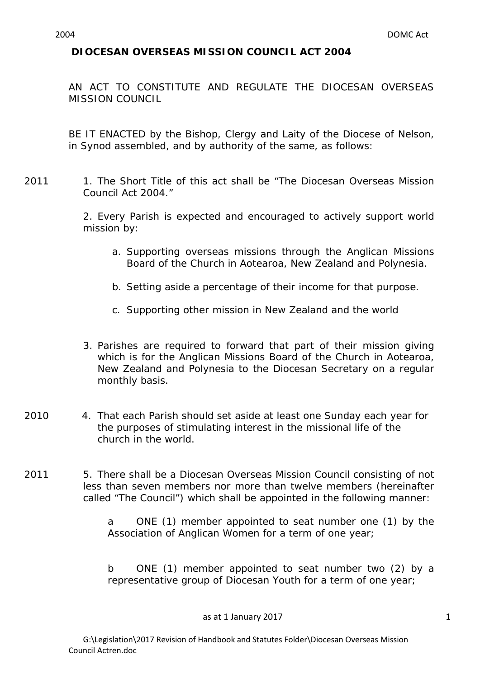## **DIOCESAN OVERSEAS MISSION COUNCIL ACT 2004**

AN ACT TO CONSTITUTE AND REGULATE THE DIOCESAN OVERSEAS MISSION COUNCIL

BE IT ENACTED by the Bishop, Clergy and Laity of the Diocese of Nelson, in Synod assembled, and by authority of the same, as follows:

2011 1. The Short Title of this act shall be "The Diocesan Overseas Mission Council Act 2004."

> 2. Every Parish is expected and encouraged to actively support world mission by:

- a. Supporting overseas missions through the Anglican Missions Board of the Church in Aotearoa, New Zealand and Polynesia.
- b. Setting aside a percentage of their income for that purpose.
- c. Supporting other mission in New Zealand and the world
- 3. Parishes are required to forward that part of their mission giving which is for the Anglican Missions Board of the Church in Aotearoa, New Zealand and Polynesia to the Diocesan Secretary on a regular monthly basis.
- 2010 4. That each Parish should set aside at least one Sunday each year for the purposes of stimulating interest in the missional life of the church in the world.
- 2011 5. There shall be a Diocesan Overseas Mission Council consisting of not less than seven members nor more than twelve members (hereinafter called "The Council") which shall be appointed in the following manner:

a ONE (1) member appointed to seat number one (1) by the Association of Anglican Women for a term of one year;

b ONE (1) member appointed to seat number two (2) by a representative group of Diocesan Youth for a term of one year;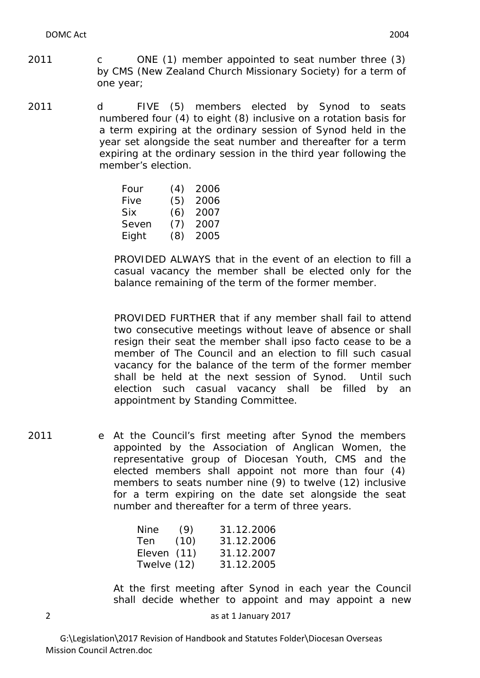- 2011 c ONE (1) member appointed to seat number three (3) by CMS (New Zealand Church Missionary Society) for a term of one year;
- 2011 d FIVE (5) members elected by Synod to seats numbered four (4) to eight (8) inclusive on a rotation basis for a term expiring at the ordinary session of Synod held in the year set alongside the seat number and thereafter for a term expiring at the ordinary session in the third year following the member's election.

| Four  | (4) | 2006 |
|-------|-----|------|
| Five  | (5) | 2006 |
| Six   | (6) | 2007 |
| Seven | (7) | 2007 |
| Eight | (8) | 2005 |

PROVIDED ALWAYS that in the event of an election to fill a casual vacancy the member shall be elected only for the balance remaining of the term of the former member.

PROVIDED FURTHER that if any member shall fail to attend two consecutive meetings without leave of absence or shall resign their seat the member shall ipso facto cease to be a member of The Council and an election to fill such casual vacancy for the balance of the term of the former member shall be held at the next session of Synod. Until such election such casual vacancy shall be filled by an appointment by Standing Committee.

2011 e At the Council's first meeting after Synod the members appointed by the Association of Anglican Women, the representative group of Diocesan Youth, CMS and the elected members shall appoint not more than four (4) members to seats number nine (9) to twelve (12) inclusive for a term expiring on the date set alongside the seat number and thereafter for a term of three years.

| Nine        | (9)  | 31.12.2006 |
|-------------|------|------------|
| Ten         | (10) | 31.12.2006 |
| Eleven (11) |      | 31.12.2007 |
| Twelve (12) |      | 31.12.2005 |

At the first meeting after Synod in each year the Council shall decide whether to appoint and may appoint a new

as at 1 January 2017

G:\Legislation\2017 Revision of Handbook and Statutes Folder\Diocesan Overseas Mission Council Actren.doc

 $\overline{\mathbf{z}}$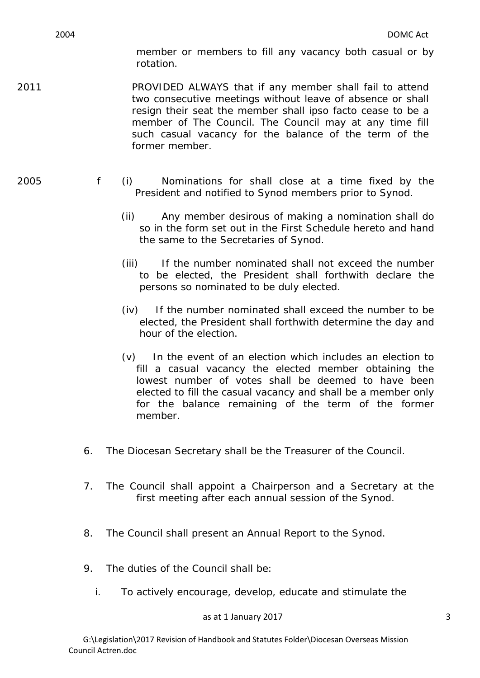member or members to fill any vacancy both casual or by rotation.

- 2011 PROVIDED ALWAYS that if any member shall fail to attend two consecutive meetings without leave of absence or shall resign their seat the member shall ipso facto cease to be a member of The Council. The Council may at any time fill such casual vacancy for the balance of the term of the former member.
- 2005 f (i) Nominations for shall close at a time fixed by the President and notified to Synod members prior to Synod.
	- (ii) Any member desirous of making a nomination shall do so in the form set out in the First Schedule hereto and hand the same to the Secretaries of Synod.
	- (iii) If the number nominated shall not exceed the number to be elected, the President shall forthwith declare the persons so nominated to be duly elected.
	- (iv) If the number nominated shall exceed the number to be elected, the President shall forthwith determine the day and hour of the election.
	- (v) In the event of an election which includes an election to fill a casual vacancy the elected member obtaining the lowest number of votes shall be deemed to have been elected to fill the casual vacancy and shall be a member only for the balance remaining of the term of the former member.
	- 6. The Diocesan Secretary shall be the Treasurer of the Council.
	- 7. The Council shall appoint a Chairperson and a Secretary at the first meeting after each annual session of the Synod.
	- 8. The Council shall present an Annual Report to the Synod.
	- 9. The duties of the Council shall be:
		- i. To actively encourage, develop, educate and stimulate the

## as at 1 January 2017 **3**